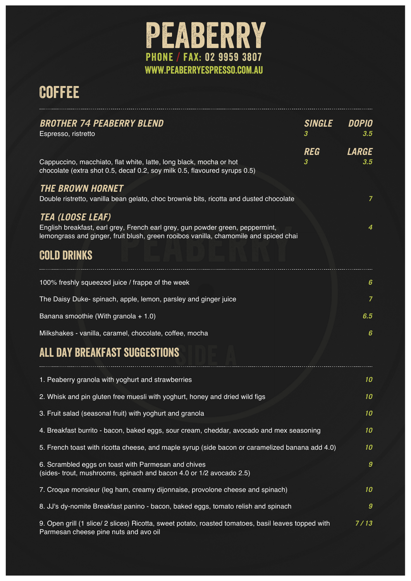

# **COFFEE**

| <b>BROTHER 74 PEABERRY BLEND</b><br>Espresso, ristretto                                                                                                               | <b>SINGLE</b><br>3 | DOPIO<br>3.5     |
|-----------------------------------------------------------------------------------------------------------------------------------------------------------------------|--------------------|------------------|
|                                                                                                                                                                       | <b>REG</b>         | <b>LARGE</b>     |
| Cappuccino, macchiato, flat white, latte, long black, mocha or hot<br>chocolate (extra shot 0.5, decaf 0.2, soy milk 0.5, flavoured syrups 0.5)                       | 3                  | 3.5              |
| <b>THE BROWN HORNET</b><br>Double ristretto, vanilla bean gelato, choc brownie bits, ricotta and dusted chocolate                                                     |                    | $\overline{7}$   |
| <i><b>TEA (LOOSE LEAF)</b></i>                                                                                                                                        |                    |                  |
| English breakfast, earl grey, French earl grey, gun powder green, peppermint,<br>lemongrass and ginger, fruit blush, green rooibos vanilla, chamomile and spiced chai |                    | 4                |
| <b>COLD DRINKS</b>                                                                                                                                                    |                    |                  |
| 100% freshly squeezed juice / frappe of the week                                                                                                                      |                    | 6                |
| The Daisy Duke- spinach, apple, lemon, parsley and ginger juice                                                                                                       |                    | 7                |
| Banana smoothie (With granola $+ 1.0$ )                                                                                                                               |                    | 6.5              |
| Milkshakes - vanilla, caramel, chocolate, coffee, mocha                                                                                                               |                    | 6                |
| ALL DAY BREAKFAST SUGGESTIONS                                                                                                                                         |                    |                  |
| 1. Peaberry granola with yoghurt and strawberries                                                                                                                     |                    | 10               |
| 2. Whisk and pin gluten free muesli with yoghurt, honey and dried wild figs                                                                                           |                    | 10               |
| 3. Fruit salad (seasonal fruit) with yoghurt and granola                                                                                                              |                    | 10               |
| 4. Breakfast burrito - bacon, baked eggs, sour cream, cheddar, avocado and mex seasoning                                                                              |                    | 10               |
| 5. French toast with ricotta cheese, and maple syrup (side bacon or caramelized banana add 4.0)                                                                       |                    | 10               |
| 6. Scrambled eggs on toast with Parmesan and chives<br>(sides- trout, mushrooms, spinach and bacon 4.0 or 1/2 avocado 2.5)                                            |                    | $\boldsymbol{g}$ |
| 7. Croque monsieur (leg ham, creamy dijonnaise, provolone cheese and spinach)                                                                                         |                    | 10               |
| 8. JJ's dy-nomite Breakfast panino - bacon, baked eggs, tomato relish and spinach                                                                                     |                    | 9                |
| 9. Open grill (1 slice/ 2 slices) Ricotta, sweet potato, roasted tomatoes, basil leaves topped with<br>Parmesan cheese pine nuts and avo oil                          |                    | 7/13             |